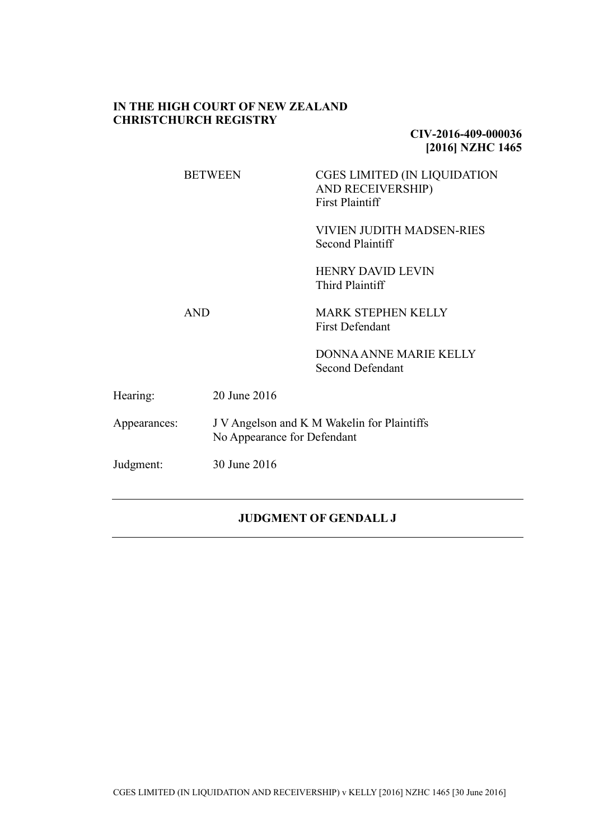#### **IN THE HIGH COURT OF NEW ZEALAND CHRISTCHURCH REGISTRY**

**CIV-2016-409-000036 [2016] NZHC 1465**

BETWEEN CGES LIMITED (IN LIQUIDATION AND RECEIVERSHIP) First Plaintiff

> VIVIEN JUDITH MADSEN-RIES Second Plaintiff

HENRY DAVID LEVIN Third Plaintiff

AND MARK STEPHEN KELLY First Defendant

> DONNA ANNE MARIE KELLY Second Defendant

| Hearing:     | 20 June 2016                                                               |
|--------------|----------------------------------------------------------------------------|
| Appearances: | J V Angelson and K M Wakelin for Plaintiffs<br>No Appearance for Defendant |
| Judgment:    | 30 June 2016                                                               |

### **JUDGMENT OF GENDALL J**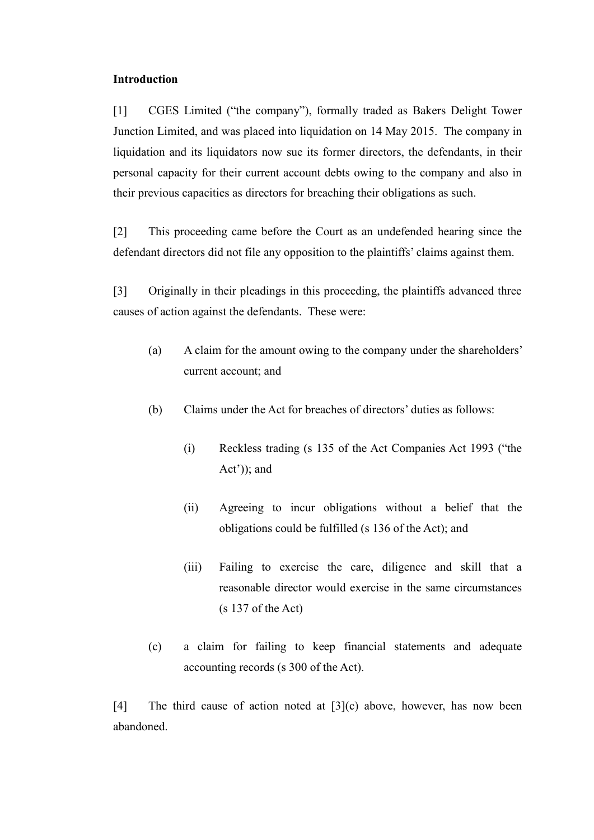#### **Introduction**

[1] CGES Limited ("the company"), formally traded as Bakers Delight Tower Junction Limited, and was placed into liquidation on 14 May 2015. The company in liquidation and its liquidators now sue its former directors, the defendants, in their personal capacity for their current account debts owing to the company and also in their previous capacities as directors for breaching their obligations as such.

[2] This proceeding came before the Court as an undefended hearing since the defendant directors did not file any opposition to the plaintiffs' claims against them.

[3] Originally in their pleadings in this proceeding, the plaintiffs advanced three causes of action against the defendants. These were:

- (a) A claim for the amount owing to the company under the shareholders' current account; and
- (b) Claims under the Act for breaches of directors' duties as follows:
	- (i) Reckless trading (s 135 of the Act Companies Act 1993 ("the Act')); and
	- (ii) Agreeing to incur obligations without a belief that the obligations could be fulfilled (s 136 of the Act); and
	- (iii) Failing to exercise the care, diligence and skill that a reasonable director would exercise in the same circumstances (s 137 of the Act)
- (c) a claim for failing to keep financial statements and adequate accounting records (s 300 of the Act).

[4] The third cause of action noted at [3](c) above, however, has now been abandoned.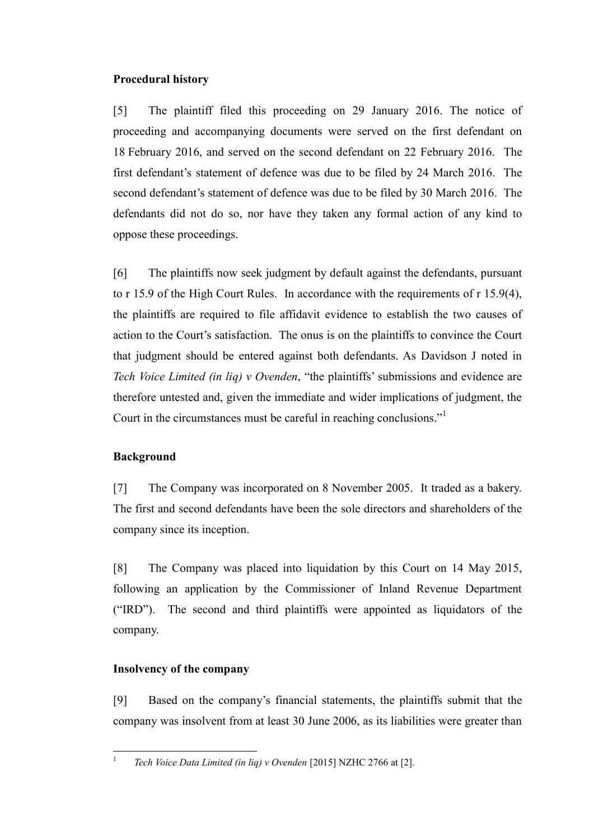# **Procedural history**

[5] The plaintiff filed this proceeding on 29 January 2016. The notice of proceeding and accompanying documents were served on the first defendant on 18 February 2016, and served on the second defendant on 22 February 2016. The first defendant's statement of defence was due to be filed by 24 March 2016. The second defendant's statement of defence was due to be filed by 30 March 2016. The defendants did not do so, nor have they taken any formal action of any kind to oppose these proceedings.

[6] The plaintiffs now seek judgment by default against the defendants, pursuant to r 15.9 of the High Court Rules. In accordance with the requirements of r 15.9(4), the plaintiffs are required to file affidavit evidence to establish the two causes of action to the Court's satisfaction. The onus is on the plaintiffs to convince the Court that judgment should be entered against both defendants. As Davidson J noted in *Tech Voice Limited (in liq) v Ovenden*, "the plaintiffs' submissions and evidence are therefore untested and, given the immediate and wider implications of judgment, the Court in the circumstances must be careful in reaching conclusions."<sup>1</sup>

# **Background**

[7] The Company was incorporated on 8 November 2005. It traded as a bakery. The first and second defendants have been the sole directors and shareholders of the company since its inception.

[8] The Company was placed into liquidation by this Court on 14 May 2015, following an application by the Commissioner of Inland Revenue Department ("IRD"). The second and third plaintiffs were appointed as liquidators of the company.

# **Insolvency of the company**

 $\frac{1}{1}$ 

[9] Based on the company's financial statements, the plaintiffs submit that the company was insolvent from at least 30 June 2006, as its liabilities were greater than

*Tech Voice Data Limited (in liq) v Ovenden* [2015] NZHC 2766 at [2].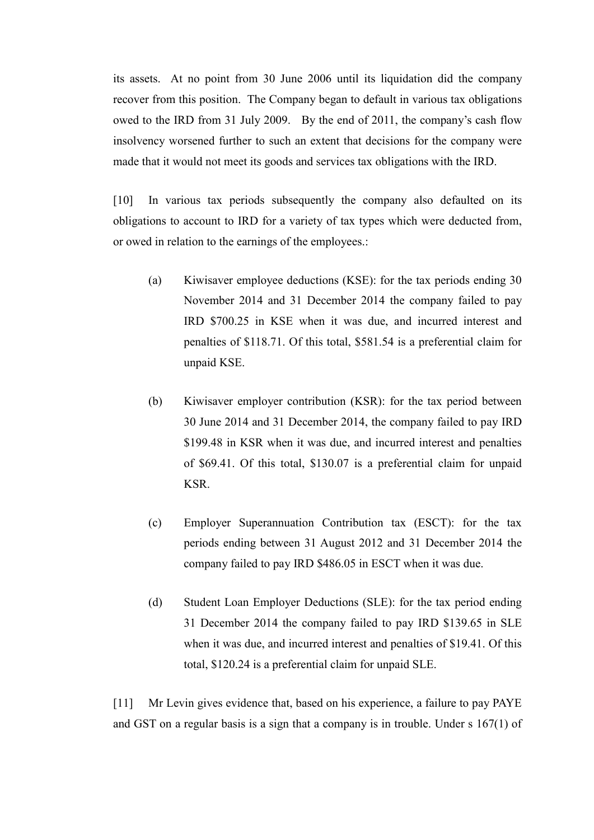its assets. At no point from 30 June 2006 until its liquidation did the company recover from this position. The Company began to default in various tax obligations owed to the IRD from 31 July 2009. By the end of 2011, the company's cash flow insolvency worsened further to such an extent that decisions for the company were made that it would not meet its goods and services tax obligations with the IRD.

[10] In various tax periods subsequently the company also defaulted on its obligations to account to IRD for a variety of tax types which were deducted from, or owed in relation to the earnings of the employees.:

- (a) Kiwisaver employee deductions (KSE): for the tax periods ending 30 November 2014 and 31 December 2014 the company failed to pay IRD \$700.25 in KSE when it was due, and incurred interest and penalties of \$118.71. Of this total, \$581.54 is a preferential claim for unpaid KSE.
- (b) Kiwisaver employer contribution (KSR): for the tax period between 30 June 2014 and 31 December 2014, the company failed to pay IRD \$199.48 in KSR when it was due, and incurred interest and penalties of \$69.41. Of this total, \$130.07 is a preferential claim for unpaid KSR.
- (c) Employer Superannuation Contribution tax (ESCT): for the tax periods ending between 31 August 2012 and 31 December 2014 the company failed to pay IRD \$486.05 in ESCT when it was due.
- (d) Student Loan Employer Deductions (SLE): for the tax period ending 31 December 2014 the company failed to pay IRD \$139.65 in SLE when it was due, and incurred interest and penalties of \$19.41. Of this total, \$120.24 is a preferential claim for unpaid SLE.

[11] Mr Levin gives evidence that, based on his experience, a failure to pay PAYE and GST on a regular basis is a sign that a company is in trouble. Under s 167(1) of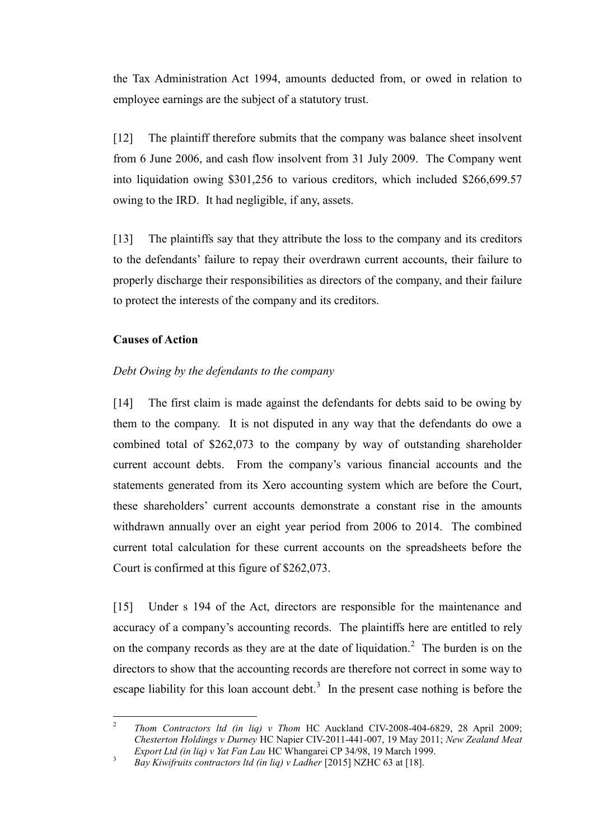the Tax Administration Act 1994, amounts deducted from, or owed in relation to employee earnings are the subject of a statutory trust.

[12] The plaintiff therefore submits that the company was balance sheet insolvent from 6 June 2006, and cash flow insolvent from 31 July 2009. The Company went into liquidation owing \$301,256 to various creditors, which included \$266,699.57 owing to the IRD. It had negligible, if any, assets.

[13] The plaintiffs say that they attribute the loss to the company and its creditors to the defendants' failure to repay their overdrawn current accounts, their failure to properly discharge their responsibilities as directors of the company, and their failure to protect the interests of the company and its creditors.

#### **Causes of Action**

#### *Debt Owing by the defendants to the company*

[14] The first claim is made against the defendants for debts said to be owing by them to the company. It is not disputed in any way that the defendants do owe a combined total of \$262,073 to the company by way of outstanding shareholder current account debts. From the company's various financial accounts and the statements generated from its Xero accounting system which are before the Court, these shareholders' current accounts demonstrate a constant rise in the amounts withdrawn annually over an eight year period from 2006 to 2014. The combined current total calculation for these current accounts on the spreadsheets before the Court is confirmed at this figure of \$262,073.

[15] Under s 194 of the Act, directors are responsible for the maintenance and accuracy of a company's accounting records. The plaintiffs here are entitled to rely on the company records as they are at the date of liquidation.<sup>2</sup> The burden is on the directors to show that the accounting records are therefore not correct in some way to escape liability for this loan account debt.<sup>3</sup> In the present case nothing is before the

 $\frac{1}{2}$ *Thom Contractors ltd (in liq) v Thom* HC Auckland CIV-2008-404-6829, 28 April 2009; *Chesterton Holdings v Durney* HC Napier CIV-2011-441-007, 19 May 2011; *New Zealand Meat Export Ltd (in liq) v Yat Fan Lau* HC Whangarei CP 34/98, 19 March 1999.

<sup>&</sup>lt;sup>3</sup> *Bay Kiwifruits contractors ltd (in liq) v Ladher* [2015] NZHC 63 at [18].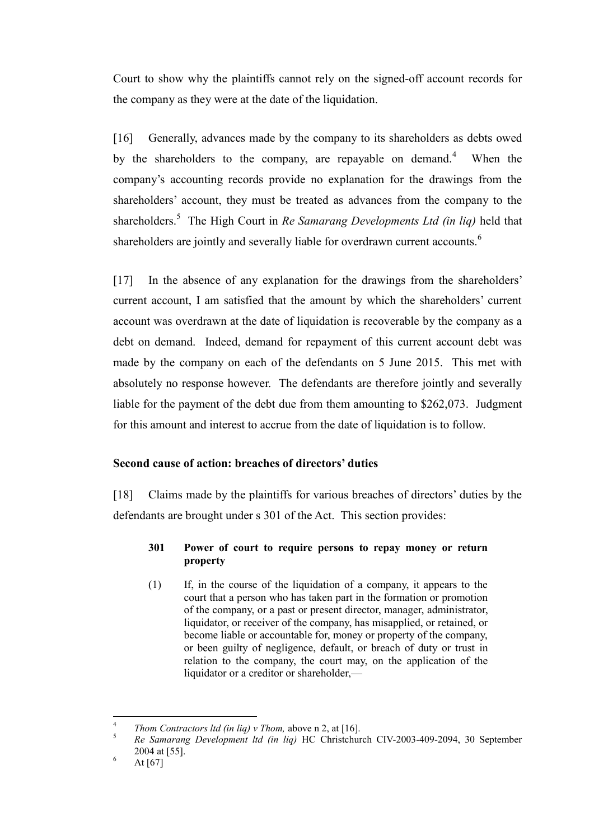Court to show why the plaintiffs cannot rely on the signed-off account records for the company as they were at the date of the liquidation.

[16] Generally, advances made by the company to its shareholders as debts owed by the shareholders to the company, are repayable on demand.<sup>4</sup> When the company's accounting records provide no explanation for the drawings from the shareholders' account, they must be treated as advances from the company to the shareholders.<sup>5</sup> The High Court in *Re Samarang Developments Ltd (in liq)* held that shareholders are jointly and severally liable for overdrawn current accounts.<sup>6</sup>

[17] In the absence of any explanation for the drawings from the shareholders' current account, I am satisfied that the amount by which the shareholders' current account was overdrawn at the date of liquidation is recoverable by the company as a debt on demand. Indeed, demand for repayment of this current account debt was made by the company on each of the defendants on 5 June 2015. This met with absolutely no response however. The defendants are therefore jointly and severally liable for the payment of the debt due from them amounting to \$262,073. Judgment for this amount and interest to accrue from the date of liquidation is to follow.

# **Second cause of action: breaches of directors' duties**

[18] Claims made by the plaintiffs for various breaches of directors' duties by the defendants are brought under s 301 of the Act. This section provides:

# **301 Power of court to require persons to repay money or return property**

(1) If, in the course of the liquidation of a company, it appears to the court that a person who has taken part in the formation or promotion of the company, or a past or present director, manager, administrator, liquidator, or receiver of the company, has misapplied, or retained, or become liable or accountable for, money or property of the company, or been guilty of negligence, default, or breach of duty or trust in relation to the company, the court may, on the application of the liquidator or a creditor or shareholder,—

 $\frac{1}{4}$ *Thom Contractors ltd (in lig) v Thom, above n 2, at [16].* 

<sup>5</sup> *Re Samarang Development ltd (in liq)* HC Christchurch CIV-2003-409-2094, 30 September 2004 at [55].

 $^{6}$  At [67]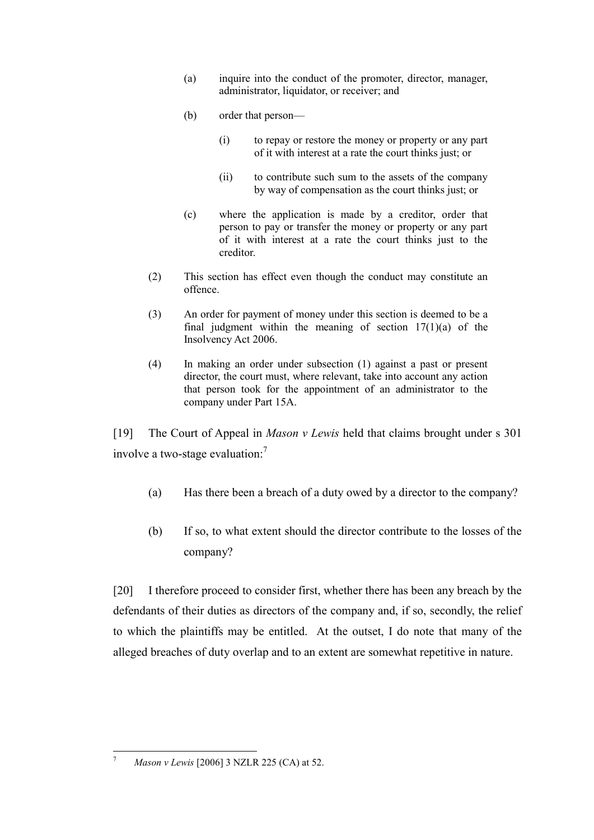- (a) inquire into the conduct of the promoter, director, manager, administrator, liquidator, or receiver; and
- (b) order that person—
	- (i) to repay or restore the money or property or any part of it with interest at a rate the court thinks just; or
	- (ii) to contribute such sum to the assets of the company by way of compensation as the court thinks just; or
- (c) where the application is made by a creditor, order that person to pay or transfer the money or property or any part of it with interest at a rate the court thinks just to the creditor.
- (2) This section has effect even though the conduct may constitute an offence.
- (3) An order for payment of money under this section is deemed to be a final judgment within the meaning of section  $17(1)(a)$  of the Insolvency Act 2006.
- (4) In making an order under subsection (1) against a past or present director, the court must, where relevant, take into account any action that person took for the appointment of an administrator to the company under [Part 15A.](http://www.legislation.govt.nz/act/public/1993/0105/latest/link.aspx?id=DLM321191#DLM321191)

[19] The Court of Appeal in *Mason v Lewis* held that claims brought under s 301 involve a two-stage evaluation:<sup>7</sup>

- <span id="page-6-0"></span>(a) Has there been a breach of a duty owed by a director to the company?
- (b) If so, to what extent should the director contribute to the losses of the company?

[20] I therefore proceed to consider first, whether there has been any breach by the defendants of their duties as directors of the company and, if so, secondly, the relief to which the plaintiffs may be entitled. At the outset, I do note that many of the alleged breaches of duty overlap and to an extent are somewhat repetitive in nature.

 $\boldsymbol{7}$ <sup>7</sup> *Mason v Lewis* [2006] 3 NZLR 225 (CA) at 52.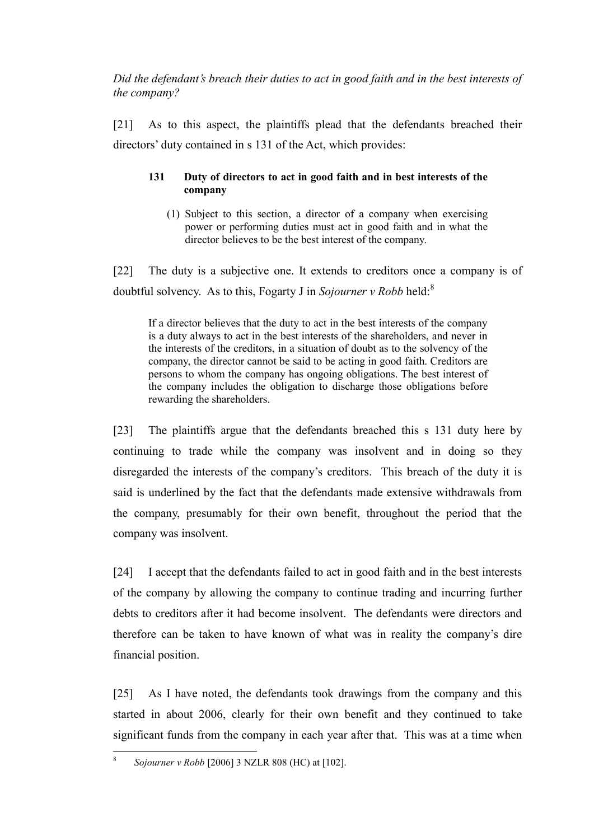*Did the defendant's breach their duties to act in good faith and in the best interests of the company?*

[21] As to this aspect, the plaintiffs plead that the defendants breached their directors' duty contained in s 131 of the Act, which provides:

#### **131 Duty of directors to act in good faith and in best interests of the company**

(1) Subject to this section, a director of a company when exercising power or performing duties must act in good faith and in what the director believes to be the best interest of the company.

[22] The duty is a subjective one. It extends to creditors once a company is of doubtful solvency. As to this, Fogarty J in *Sojourner v Robb* held:<sup>8</sup>

If a director believes that the duty to act in the best interests of the company is a duty always to act in the best interests of the shareholders, and never in the interests of the creditors, in a situation of doubt as to the solvency of the company, the director cannot be said to be acting in good faith. Creditors are persons to whom the company has ongoing obligations. The best interest of the company includes the obligation to discharge those obligations before rewarding the shareholders.

[23] The plaintiffs argue that the defendants breached this s 131 duty here by continuing to trade while the company was insolvent and in doing so they disregarded the interests of the company's creditors. This breach of the duty it is said is underlined by the fact that the defendants made extensive withdrawals from the company, presumably for their own benefit, throughout the period that the company was insolvent.

[24] I accept that the defendants failed to act in good faith and in the best interests of the company by allowing the company to continue trading and incurring further debts to creditors after it had become insolvent. The defendants were directors and therefore can be taken to have known of what was in reality the company's dire financial position.

[25] As I have noted, the defendants took drawings from the company and this started in about 2006, clearly for their own benefit and they continued to take significant funds from the company in each year after that. This was at a time when

 $\frac{1}{8}$ *Sojourner v Robb* [2006] 3 NZLR 808 (HC) at [102].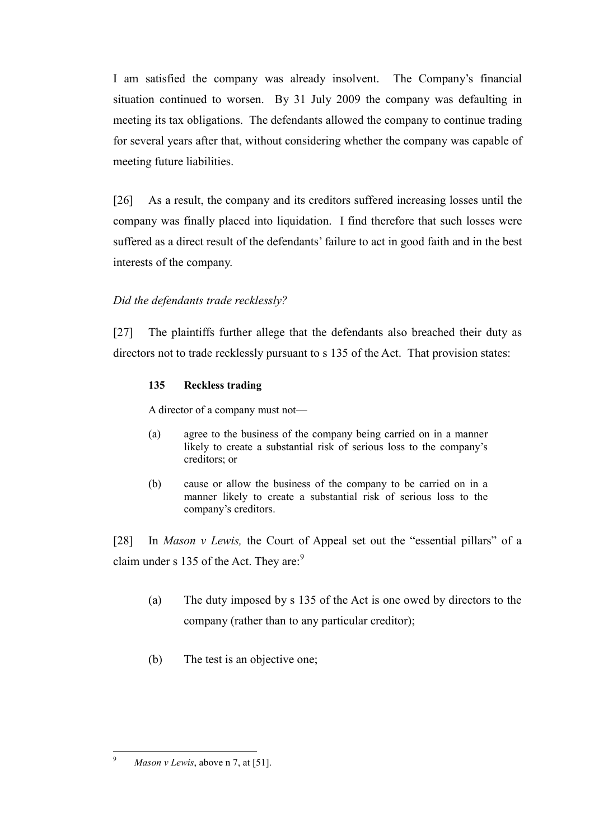I am satisfied the company was already insolvent. The Company's financial situation continued to worsen. By 31 July 2009 the company was defaulting in meeting its tax obligations. The defendants allowed the company to continue trading for several years after that, without considering whether the company was capable of meeting future liabilities.

[26] As a result, the company and its creditors suffered increasing losses until the company was finally placed into liquidation. I find therefore that such losses were suffered as a direct result of the defendants' failure to act in good faith and in the best interests of the company.

# *Did the defendants trade recklessly?*

[27] The plaintiffs further allege that the defendants also breached their duty as directors not to trade recklessly pursuant to s 135 of the Act. That provision states:

# **135 Reckless trading**

A director of a company must not—

- (a) agree to the business of the company being carried on in a manner likely to create a substantial risk of serious loss to the company's creditors; or
- (b) cause or allow the business of the company to be carried on in a manner likely to create a substantial risk of serious loss to the company's creditors.

[28] In *Mason v Lewis,* the Court of Appeal set out the "essential pillars" of a claim under s 135 of the Act. They are:<sup>9</sup>

- (a) The duty imposed by s 135 of the Act is one owed by directors to the company (rather than to any particular creditor);
- (b) The test is an objective one;

 $\overline{9}$ *Mason v Lewis*, above n 7, at [51].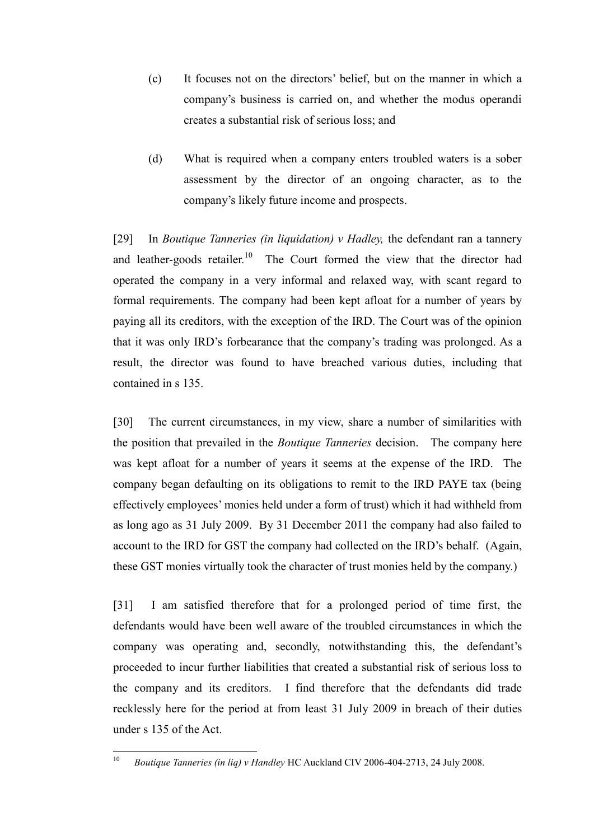- (c) It focuses not on the directors' belief, but on the manner in which a company's business is carried on, and whether the modus operandi creates a substantial risk of serious loss; and
- (d) What is required when a company enters troubled waters is a sober assessment by the director of an ongoing character, as to the company's likely future income and prospects.

[29] In *Boutique Tanneries (in liquidation) v Hadley,* the defendant ran a tannery and leather-goods retailer.<sup>10</sup> The Court formed the view that the director had operated the company in a very informal and relaxed way, with scant regard to formal requirements. The company had been kept afloat for a number of years by paying all its creditors, with the exception of the IRD. The Court was of the opinion that it was only IRD's forbearance that the company's trading was prolonged. As a result, the director was found to have breached various duties, including that contained in s 135.

[30] The current circumstances, in my view, share a number of similarities with the position that prevailed in the *Boutique Tanneries* decision. The company here was kept afloat for a number of years it seems at the expense of the IRD. The company began defaulting on its obligations to remit to the IRD PAYE tax (being effectively employees' monies held under a form of trust) which it had withheld from as long ago as 31 July 2009. By 31 December 2011 the company had also failed to account to the IRD for GST the company had collected on the IRD's behalf. (Again, these GST monies virtually took the character of trust monies held by the company.)

[31] I am satisfied therefore that for a prolonged period of time first, the defendants would have been well aware of the troubled circumstances in which the company was operating and, secondly, notwithstanding this, the defendant's proceeded to incur further liabilities that created a substantial risk of serious loss to the company and its creditors. I find therefore that the defendants did trade recklessly here for the period at from least 31 July 2009 in breach of their duties under s 135 of the Act.

 $10$ <sup>10</sup> *Boutique Tanneries (in liq) v Handley* HC Auckland CIV 2006-404-2713, 24 July 2008.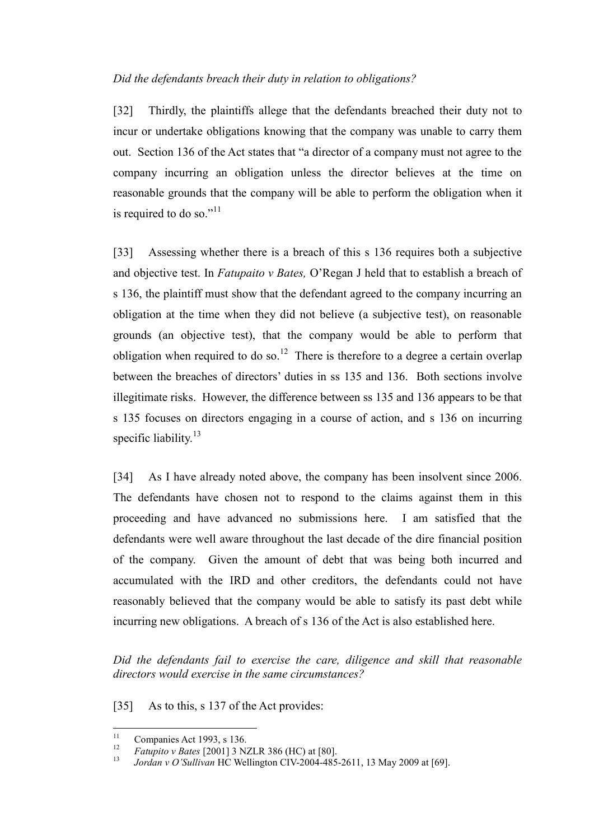#### *Did the defendants breach their duty in relation to obligations?*

[32] Thirdly, the plaintiffs allege that the defendants breached their duty not to incur or undertake obligations knowing that the company was unable to carry them out. Section 136 of the Act states that "a director of a company must not agree to the company incurring an obligation unless the director believes at the time on reasonable grounds that the company will be able to perform the obligation when it is required to do so."<sup>11</sup>

[33] Assessing whether there is a breach of this s 136 requires both a subjective and objective test. In *Fatupaito v Bates,* O'Regan J held that to establish a breach of s 136, the plaintiff must show that the defendant agreed to the company incurring an obligation at the time when they did not believe (a subjective test), on reasonable grounds (an objective test), that the company would be able to perform that obligation when required to do so.<sup>12</sup> There is therefore to a degree a certain overlap between the breaches of directors' duties in ss 135 and 136. Both sections involve illegitimate risks. However, the difference between ss 135 and 136 appears to be that s 135 focuses on directors engaging in a course of action, and s 136 on incurring specific liability.<sup>13</sup>

[34] As I have already noted above, the company has been insolvent since 2006. The defendants have chosen not to respond to the claims against them in this proceeding and have advanced no submissions here. I am satisfied that the defendants were well aware throughout the last decade of the dire financial position of the company. Given the amount of debt that was being both incurred and accumulated with the IRD and other creditors, the defendants could not have reasonably believed that the company would be able to satisfy its past debt while incurring new obligations. A breach of s 136 of the Act is also established here.

*Did the defendants fail to exercise the care, diligence and skill that reasonable directors would exercise in the same circumstances?*

[35] As to this, s 137 of the Act provides:

 $11\,$  $\frac{11}{12}$  Companies Act 1993, s 136.

<sup>&</sup>lt;sup>12</sup> *Fatupito v Bates* [2001] 3 NZLR 386 (HC) at [80].<br><sup>13</sup> *Lordan v Q'Sullivan* HC Wellington CIV 2004 485

<sup>13</sup> *Jordan v O'Sullivan* HC Wellington CIV-2004-485-2611, 13 May 2009 at [69].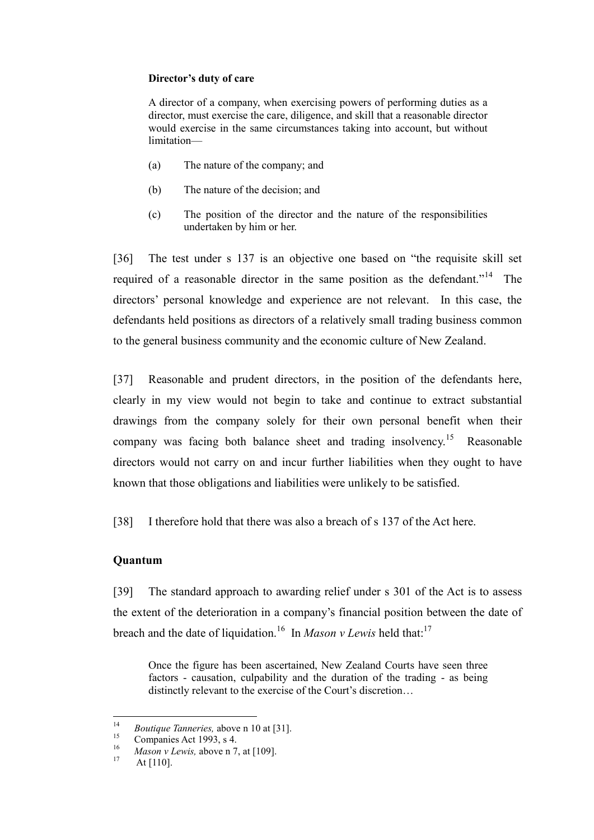#### **Director's duty of care**

A director of a company, when exercising powers of performing duties as a director, must exercise the care, diligence, and skill that a reasonable director would exercise in the same circumstances taking into account, but without limitation—

- (a) The nature of the company; and
- (b) The nature of the decision; and
- (c) The position of the director and the nature of the responsibilities undertaken by him or her.

[36] The test under s 137 is an objective one based on "the requisite skill set required of a reasonable director in the same position as the defendant."<sup>14</sup> The directors' personal knowledge and experience are not relevant. In this case, the defendants held positions as directors of a relatively small trading business common to the general business community and the economic culture of New Zealand.

[37] Reasonable and prudent directors, in the position of the defendants here, clearly in my view would not begin to take and continue to extract substantial drawings from the company solely for their own personal benefit when their company was facing both balance sheet and trading insolvency.<sup>15</sup> Reasonable directors would not carry on and incur further liabilities when they ought to have known that those obligations and liabilities were unlikely to be satisfied.

[38] I therefore hold that there was also a breach of s 137 of the Act here.

#### **Quantum**

[39] The standard approach to awarding relief under s 301 of the Act is to assess the extent of the deterioration in a company's financial position between the date of breach and the date of liquidation.<sup>16</sup> In *Mason v Lewis* held that:<sup>17</sup>

Once the figure has been ascertained, New Zealand Courts have seen three factors - causation, culpability and the duration of the trading - as being distinctly relevant to the exercise of the Court's discretion…

 $14$ <sup>14</sup> *Boutique Tanneries,* above n 10 at [31].

<sup>&</sup>lt;sup>15</sup> Companies Act 1993, s 4.

<sup>&</sup>lt;sup>16</sup> *Mason v Lewis*, above n [7,](#page-6-0) at [109].

At [110].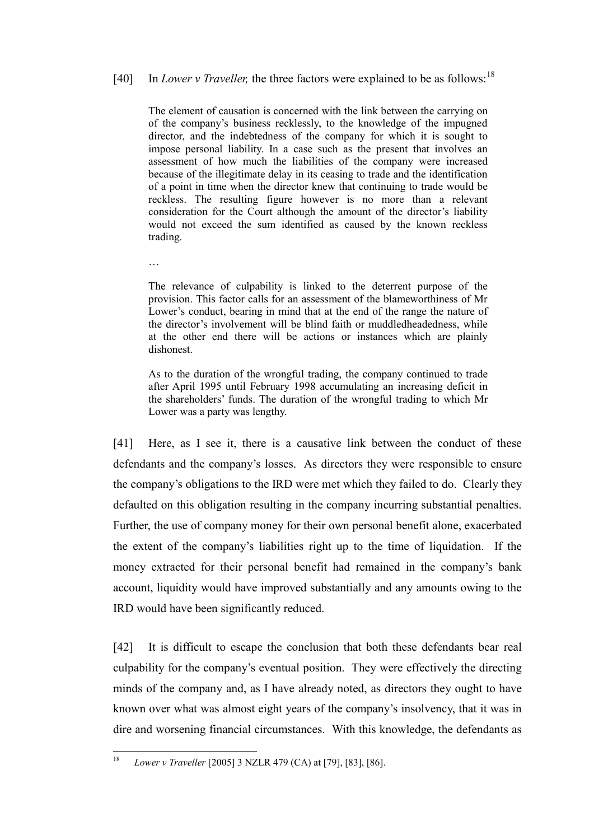# [40] In *Lower v Traveller*, the three factors were explained to be as follows:<sup>18</sup>

The element of causation is concerned with the link between the carrying on of the company's business recklessly, to the knowledge of the impugned director, and the indebtedness of the company for which it is sought to impose personal liability. In a case such as the present that involves an assessment of how much the liabilities of the company were increased because of the illegitimate delay in its ceasing to trade and the identification of a point in time when the director knew that continuing to trade would be reckless. The resulting figure however is no more than a relevant consideration for the Court although the amount of the director's liability would not exceed the sum identified as caused by the known reckless trading.

The relevance of culpability is linked to the deterrent purpose of the provision. This factor calls for an assessment of the blameworthiness of Mr Lower's conduct, bearing in mind that at the end of the range the nature of the director's involvement will be blind faith or muddledheadedness, while at the other end there will be actions or instances which are plainly dishonest.

…

As to the duration of the wrongful trading, the company continued to trade after April 1995 until February 1998 accumulating an increasing deficit in the shareholders' funds. The duration of the wrongful trading to which Mr Lower was a party was lengthy.

[41] Here, as I see it, there is a causative link between the conduct of these defendants and the company's losses. As directors they were responsible to ensure the company's obligations to the IRD were met which they failed to do. Clearly they defaulted on this obligation resulting in the company incurring substantial penalties. Further, the use of company money for their own personal benefit alone, exacerbated the extent of the company's liabilities right up to the time of liquidation. If the money extracted for their personal benefit had remained in the company's bank account, liquidity would have improved substantially and any amounts owing to the IRD would have been significantly reduced.

[42] It is difficult to escape the conclusion that both these defendants bear real culpability for the company's eventual position. They were effectively the directing minds of the company and, as I have already noted, as directors they ought to have known over what was almost eight years of the company's insolvency, that it was in dire and worsening financial circumstances. With this knowledge, the defendants as

<sup>18</sup> <sup>18</sup> *Lower v Traveller* [2005] 3 NZLR 479 (CA) at [79], [83], [86].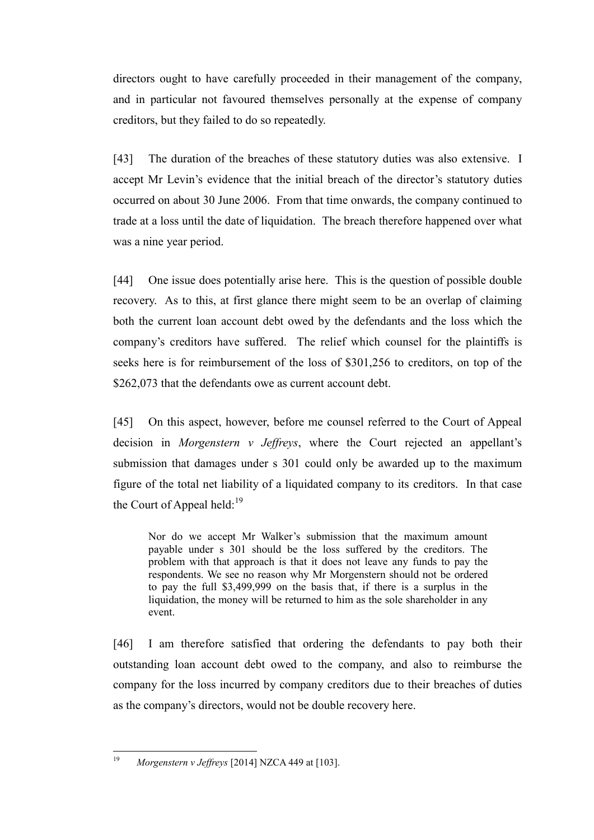directors ought to have carefully proceeded in their management of the company, and in particular not favoured themselves personally at the expense of company creditors, but they failed to do so repeatedly.

[43] The duration of the breaches of these statutory duties was also extensive. I accept Mr Levin's evidence that the initial breach of the director's statutory duties occurred on about 30 June 2006. From that time onwards, the company continued to trade at a loss until the date of liquidation. The breach therefore happened over what was a nine year period.

[44] One issue does potentially arise here. This is the question of possible double recovery. As to this, at first glance there might seem to be an overlap of claiming both the current loan account debt owed by the defendants and the loss which the company's creditors have suffered. The relief which counsel for the plaintiffs is seeks here is for reimbursement of the loss of \$301,256 to creditors, on top of the \$262,073 that the defendants owe as current account debt.

[45] On this aspect, however, before me counsel referred to the Court of Appeal decision in *Morgenstern v Jeffreys*, where the Court rejected an appellant's submission that damages under s 301 could only be awarded up to the maximum figure of the total net liability of a liquidated company to its creditors. In that case the Court of Appeal held: $^{19}$ 

Nor do we accept Mr Walker's submission that the maximum amount payable under s 301 should be the loss suffered by the creditors. The problem with that approach is that it does not leave any funds to pay the respondents. We see no reason why Mr Morgenstern should not be ordered to pay the full \$3,499,999 on the basis that, if there is a surplus in the liquidation, the money will be returned to him as the sole shareholder in any event.

[46] I am therefore satisfied that ordering the defendants to pay both their outstanding loan account debt owed to the company, and also to reimburse the company for the loss incurred by company creditors due to their breaches of duties as the company's directors, would not be double recovery here.

19 <sup>19</sup> *Morgenstern v Jeffreys* [2014] NZCA 449 at [103].